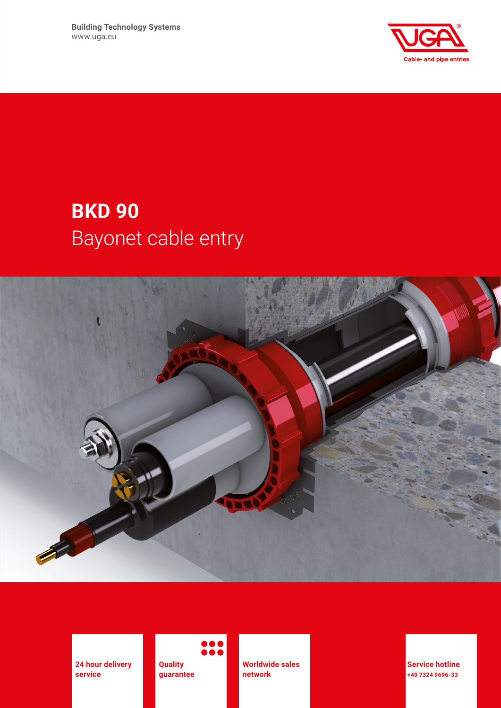**Building Technology Systems** www.uga.eu



# **BKD 90** Bayonet cable entry



**24 hour delivery service**

**Quality guarantee**

**Worldwide sales network**

**Service hotline +49 7324 9696-33**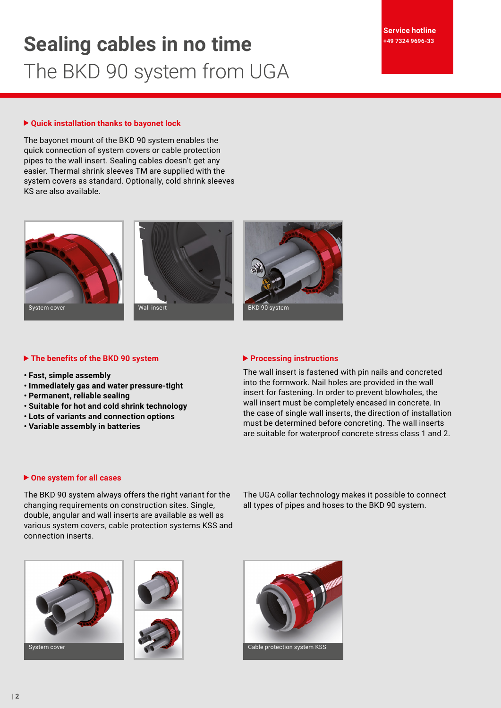# **Sealing cables in no time** The BKD 90 system from UGA

# **Quick installation thanks to bayonet lock**

The bayonet mount of the BKD 90 system enables the quick connection of system covers or cable protection pipes to the wall insert. Sealing cables doesn't get any easier. Thermal shrink sleeves TM are supplied with the system covers as standard. Optionally, cold shrink sleeves KS are also available.







# **The benefits of the BKD 90 system**

- **Fast, simple assembly**
- **Immediately gas and water pressure-tight**
- **Permanent, reliable sealing**
- **Suitable for hot and cold shrink technology**
- **Lots of variants and connection options**
- **Variable assembly in batteries**

### **Processing instructions**

The wall insert is fastened with pin nails and concreted into the formwork. Nail holes are provided in the wall insert for fastening. In order to prevent blowholes, the wall insert must be completely encased in concrete. In the case of single wall inserts, the direction of installation must be determined before concreting. The wall inserts are suitable for waterproof concrete stress class 1 and 2.

### **One system for all cases**

The BKD 90 system always offers the right variant for the changing requirements on construction sites. Single, double, angular and wall inserts are available as well as various system covers, cable protection systems KSS and connection inserts.

The UGA collar technology makes it possible to connect all types of pipes and hoses to the BKD 90 system.





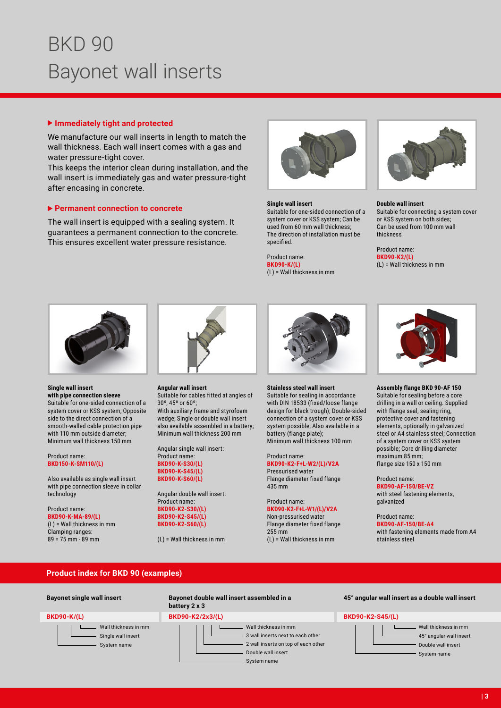# BKD 90 Bayonet wall inserts

# **Immediately tight and protected**

We manufacture our wall inserts in length to match the wall thickness. Each wall insert comes with a gas and water pressure-tight cover.

This keeps the interior clean during installation, and the wall insert is immediately gas and water pressure-tight after encasing in concrete.

# **Permanent connection to concrete**

The wall insert is equipped with a sealing system. It guarantees a permanent connection to the concrete. This ensures excellent water pressure resistance.



### **Single wall insert**

Suitable for one-sided connection of a system cover or KSS system; Can be used from 60 mm wall thickness; The direction of installation must be specified.

Product name: **BKD90-K/(L)** (L) = Wall thickness in mm



#### **Double wall insert** Suitable for connecting a system cover or KSS system on both sides; Can be used from 100 mm wall thickness

Product name: **BKD90-K2/(L)** (L) = Wall thickness in mm



### **Single wall insert**

**with pipe connection sleeve** Suitable for one-sided connection of a system cover or KSS system; Opposite side to the direct connection of a smooth-walled cable protection pipe with 110 mm outside diameter; Minimum wall thickness 150 mm

#### Product name: **BKD150-K-SM110/(L)**

Also available as single wall insert with pipe connection sleeve in collar technology

Product name: **BKD90-K-MA-89/(L)** (L) = Wall thickness in mm Clamping ranges: 89 = 75 mm - 89 mm



**Angular wall insert**

Suitable for cables fitted at angles of 30º, 45º or 60º; With auxiliary frame and styrofoam wedge; Single or double wall insert also available assembled in a battery; Minimum wall thickness 200 mm

Angular single wall insert: Product name: **BKD90-K-S30/(L) BKD90-K-S45/(L) BKD90-K-S60/(L)**

Angular double wall insert: Product name: **BKD90-K2-S30/(L) BKD90-K2-S45/(L) BKD90-K2-S60/(L)**

(L) = Wall thickness in mm



#### **Stainless steel wall insert**

Suitable for sealing in accordance with DIN 18533 (fixed/loose flange design for black trough); Double-sided connection of a system cover or KSS system possible; Also available in a battery (flange plate); Minimum wall thickness 100 mm

#### Product name: **BKD90-K2-F+L-W2/(L)/V2A** Pressurised water

Flange diameter fixed flange 435 mm

#### Product name: **BKD90-K2-F+L-W1/(L)/V2A**

Non-pressurised water Flange diameter fixed flange 255 mm (L) = Wall thickness in mm



#### **Assembly flange BKD 90-AF 150** Suitable for sealing before a core drilling in a wall or ceiling. Supplied with flange seal, sealing ring, protective cover and fastening elements, optionally in galvanized steel or A4 stainless steel; Connection of a system cover or KSS system possible; Core drilling diameter maximum 85 mm;

flange size 150 x 150 mm

Product name: **BKD90-AF-150/BE-VZ**

with steel fastening elements, galvanized

Product name: **BKD90-AF-150/BE-A4**

with fastening elements made from A4 stainless steel

# **Product index for BKD 90 (examples)**

### **BKD90-K/(L)**

- Wall thickness in mm Single wall insert
	- System name

### **Bayonet single wall insert Bayonet double wall insert assembled in a battery 2 x 3**

### **BKD90-K2/2x3/(L)**

Wall thickness in mm 3 wall inserts next to each other 2 wall inserts on top of each other Double wall insert

#### **45° angular wall insert as a double wall insert**

# **BKD90-K2-S45/(L)**

Wall thickness in mm 45° angular wall insert Double wall insert

System name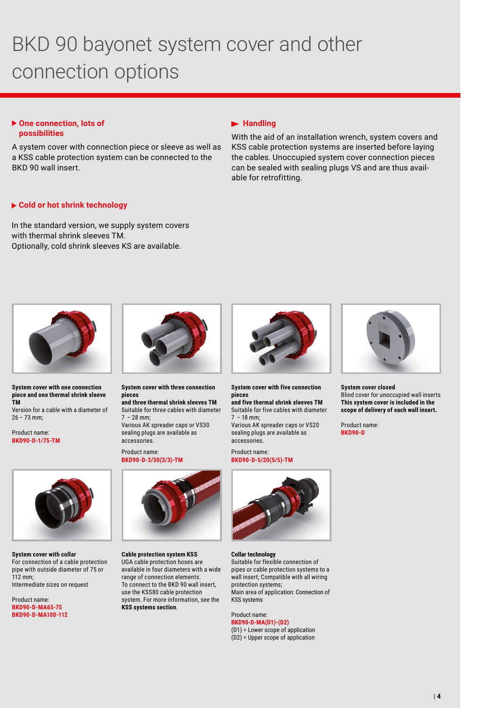# BKD 90 bayonet system cover and other connection options

# ▶ One connection, lots of **possibilities**

A system cover with connection piece or sleeve as well as a KSS cable protection system can be connected to the BKD 90 wall insert.

# **Handling**

With the aid of an installation wrench, system covers and KSS cable protection systems are inserted before laying the cables. Unoccupied system cover connection pieces can be sealed with sealing plugs VS and are thus available for retrofitting.

# **Cold or hot shrink technology**

In the standard version, we supply system covers with thermal shrink sleeves TM. Optionally, cold shrink sleeves KS are available.



**System cover with one connection piece and one thermal shrink sleeve TM**

Version for a cable with a diameter of 26 – 73 mm;

Product name: **BKD90-D-1/75-TM**



**System cover with three connection pieces and three thermal shrink sleeves TM**

Suitable for three cables with diameter 7  – 28 mm; Various AK spreader caps or VS30 sealing plugs are available as accessories.

### Product name: **BKD90-D-3/30(3/3)-TM**



**System cover with five connection pieces**

**and five thermal shrink sleeves TM** 

Suitable for five cables with diameter 7  – 18 mm; Various AK spreader caps or VS20 sealing plugs are available as accessories.

Product name: **BKD90-D-5/20(5/5)-TM**

**Collar technology**



### **System cover closed**

Blind cover for unoccupied wall inserts **This system cover is included in the scope of delivery of each wall insert.**

Product name: **BKD90-D**



**System cover with collar** For connection of a cable protection pipe with outside diameter of 75 or 112 mm; Intermediate sizes on request

Product name: **BKD90-D-MA65-75 BKD90-D-MA100-112**



**Cable protection system KSS** UGA cable protection hoses are available in four diameters with a wide range of connection elements. To connect to the BKD 90 wall insert, use the KSS80 cable protection system. For more information, see the **KSS systems section**.

protection systems; Main area of application: Connection of KSS systems Product name:

Suitable for flexible connection of pipes or cable protection systems to a wall insert; Compatible with all wiring

**BKD90-D-MA(D1)-(D2)** (D1) = Lower scope of application (D2) = Upper scope of application

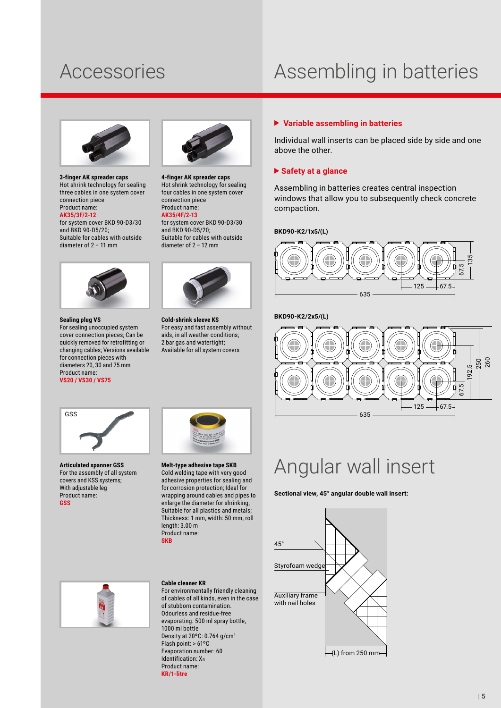# Accessories Assembling in batteries



**3-finger AK spreader caps** Hot shrink technology for sealing three cables in one system cover connection piece Product name:

**AK35/3F/2-12** for system cover BKD 90-D3/30 and BKD 90-D5/20; Suitable for cables with outside diameter of 2 – 11 mm



### **Sealing plug VS**

For sealing unoccupied system cover connection pieces; Can be quickly removed for retrofitting or changing cables; Versions available for connection pieces with diameters 20, 30 and 75 mm Product name:

### **VS20 / VS30 / VS75**



**4-finger AK spreader caps** Hot shrink technology for sealing four cables in one system cover connection piece Product name: **AK35/4F/2-13**

for system cover BKD 90-D3/30 and BKD 90-D5/20; Suitable for cables with outside diameter of 2 – 12 mm



**Cold-shrink sleeve KS** For easy and fast assembly without aids, in all weather conditions; 2 bar gas and watertight; Available for all system covers



above the other.

 **Variable assembling in batteries**

Assembling in batteries creates central inspection windows that allow you to subsequently check concrete compaction.

Individual wall inserts can be placed side by side and one

**BKD90-K2/1x5/(L)**



**BKD90-K2/2x5/(L)**



# Angular wall insert

**Sectional view, 45° angular double wall insert:**





**Articulated spanner GSS** For the assembly of all system covers and KSS systems; With adjustable leg Product name: **GSS**



#### **Melt-type adhesive tape SKB** Cold welding tape with very good adhesive properties for sealing and for corrosion protection; Ideal for wrapping around cables and pipes to enlarge the diameter for shrinking; Suitable for all plastics and metals: Thickness: 1 mm, width: 50 mm, roll length: 3.00 m

Product name: **SKB**



# **Cable cleaner KR**

For environmentally friendly cleaning of cables of all kinds, even in the case of stubborn contamination. Odourless and residue-free evaporating. 500 ml spray bottle, 1000 ml bottle Density at 20ºC: 0.764 g/cm3 Flash point: > 61ºC Evaporation number: 60 Identification: Xn Product name: **KR/1-litre**